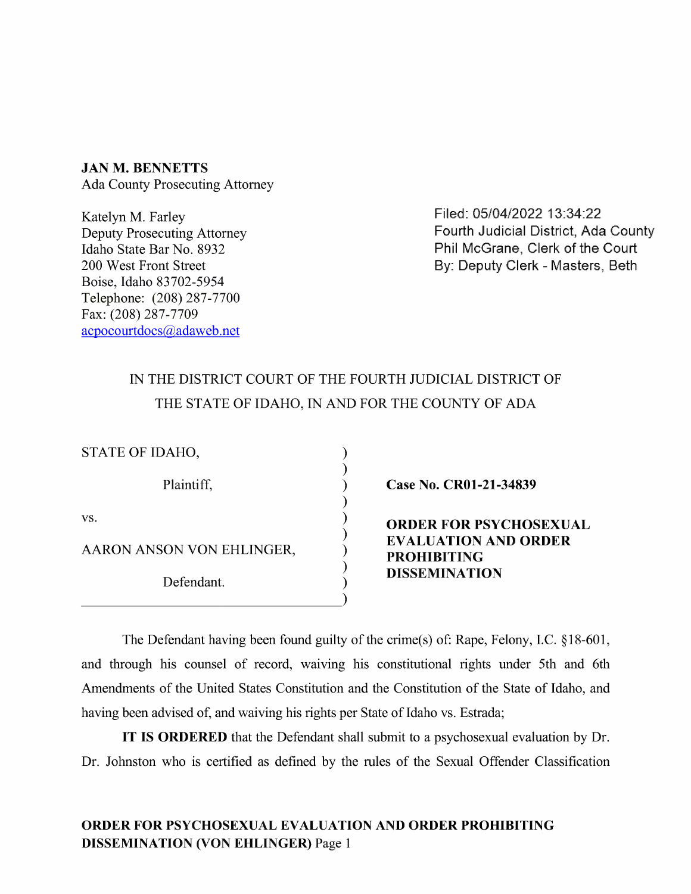JAN M. BENNETTS Ada County Prosecuting Attorney

Katelyn M, Farley Deputy Prosecuting Attorney<br>Idaho State Bar No. 8932 Boise, Idaho 83702-5954 Telephone: (208) 287-7700 Fax: (208) 287-7709 acpocourtdocs@adaweb.net

Filed: 05/04/2022 13:34:22 Fourth Judicial District, Ada County Idaho State Bar No. 8932 **Phil McGrane, Clerk of the Court** Phil McGrane, Clerk of the Court<br>200 West Front Street **Phil McGrane, Clerk - Masters**. Beth By: Deputy Clerk - Masters, Beth

## IN THE DISTRICT COURT OF THE FOURTH JUDICIAL DISTRICT OF THE STATE OF IDAHO, IN AND FOR THE COUNTY OF ADA

| STATE OF IDAHO,           |                                                                                                            |
|---------------------------|------------------------------------------------------------------------------------------------------------|
| Plaintiff,                | Case No. CR01-21-34839                                                                                     |
| VS.                       | <b>ORDER FOR PSYCHOSEXUAL</b><br><b>EVALUATION AND ORDER</b><br><b>PROHIBITING</b><br><b>DISSEMINATION</b> |
| AARON ANSON VON EHLINGER, |                                                                                                            |
| Defendant.                |                                                                                                            |
|                           |                                                                                                            |

The Defendant having been found guilty of the crime(s) of: Rape, Felony, I.C. §18-601, and through his counsel of record, waiving his constitutional rights under 5th and 6th Amendments of the United States Constitution and the Constitution of the State of Idaho, and having been advised of, and waiving his rights per State of Idaho vs. Estrada;

IT IS ORDERED that the Defendant shall submit to a psychosexual evaluation by Dr. Dr. Johnston who is certified as defined by the rules of the Sexual Offender Classification

## ORDER FOR PSYCHOSEXUAL EVALUATION AND ORDER PROHIBITING<br>DISSEMINATION (VON EHLINGER) Page 1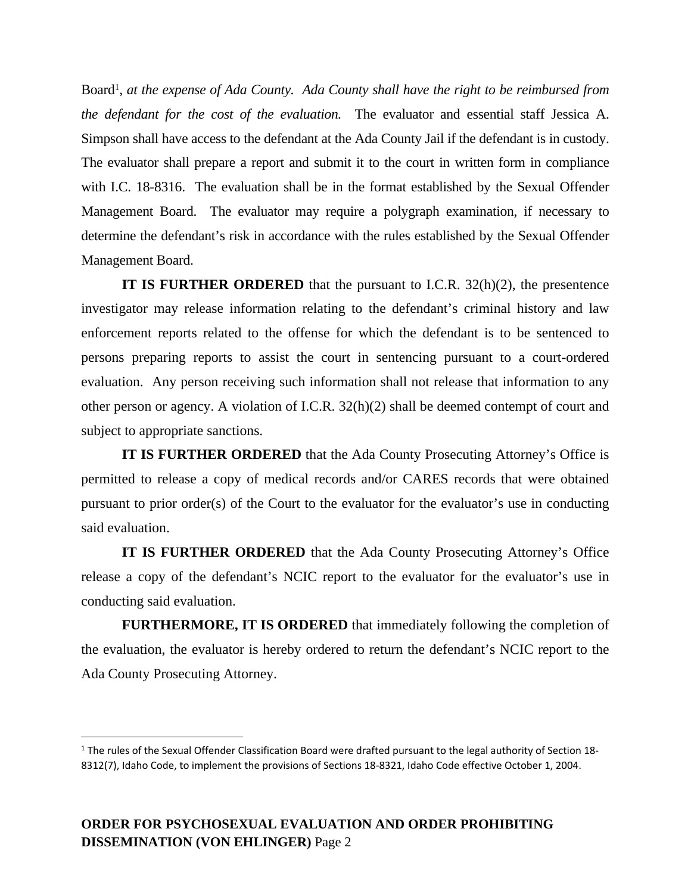Board<sup>1</sup>, at the expense of Ada County. Ada County shall have the right to be reimbursed from *the defendant for the cost of the evaluation.* The evaluator and essential staff Jessica A. Simpson shall have access to the defendant at the Ada County Jail if the defendant is in custody. The evaluator shall prepare a report and submit it to the court in written form in compliance with I.C. 18-8316. The evaluation shall be in the format established by the Sexual Offender Management Board. The evaluator may require a polygraph examination, if necessary to determine the defendant's risk in accordance with the rules established by the Sexual Offender Management Board.

**IT IS FURTHER ORDERED** that the pursuant to I.C.R. 32(h)(2), the presentence investigator may release information relating to the defendant's criminal history and law enforcement reports related to the offense for which the defendant is to be sentenced to persons preparing reports to assist the court in sentencing pursuant to a court-ordered evaluation. Any person receiving such information shall not release that information to any other person or agency. A violation of I.C.R. 32(h)(2) shall be deemed contempt of court and subject to appropriate sanctions.

**IT IS FURTHER ORDERED** that the Ada County Prosecuting Attorney's Office is permitted to release a copy of medical records and/or CARES records that were obtained pursuant to prior order(s) of the Court to the evaluator for the evaluator's use in conducting said evaluation.

**IT IS FURTHER ORDERED** that the Ada County Prosecuting Attorney's Office release a copy of the defendant's NCIC report to the evaluator for the evaluator's use in conducting said evaluation.

**FURTHERMORE, IT IS ORDERED** that immediately following the completion of the evaluation, the evaluator is hereby ordered to return the defendant's NCIC report to the Ada County Prosecuting Attorney.

<sup>&</sup>lt;sup>1</sup> The rules of the Sexual Offender Classification Board were drafted pursuant to the legal authority of Section 18-8312(7), Idaho Code, to implement the provisions of Sections 18-8321, Idaho Code effective October 1, 2004.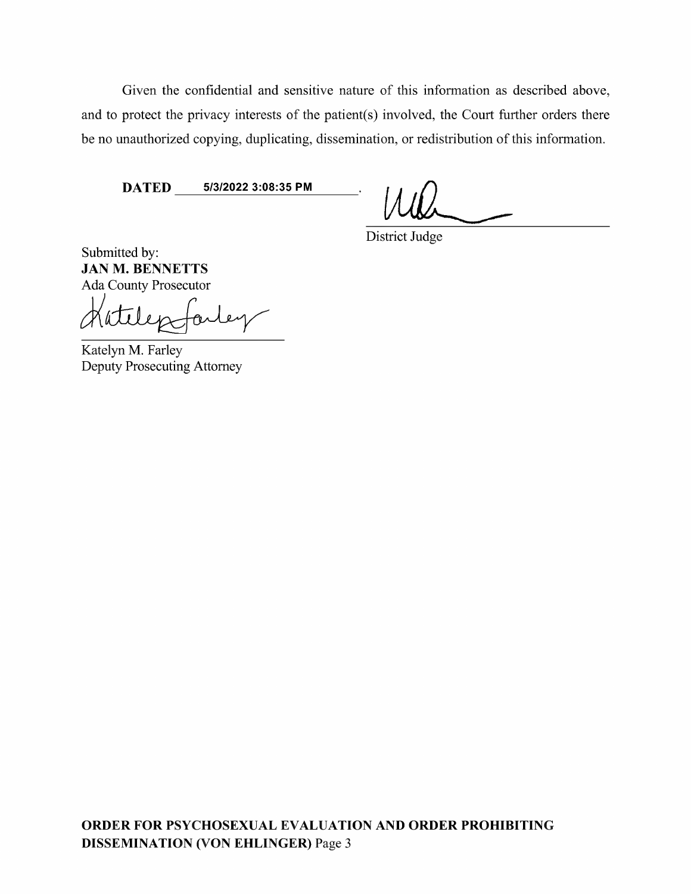Given the confidential and sensitive nature of this information as described above, and to protect the privacy interests of the patient(s) involved, the Court further orders there be no unauthorized copying, duplicating, dissemination, or redistribution of this information.

DATED 5/3/2022 3:08:35 PM WL/ District Judge

Submitted by:<br>**JAN M. BENNETTS** 

Ada County Prosecutor<br>Mattlepofarley

Deputy Prosecuting Attorney